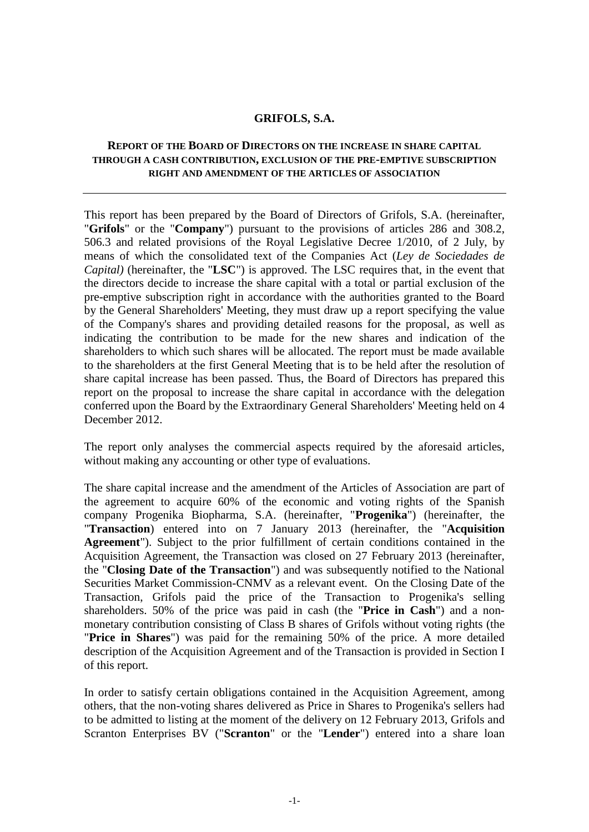### **GRIFOLS, S.A.**

# **REPORT OF THE BOARD OF DIRECTORS ON THE INCREASE IN SHARE CAPITAL THROUGH A CASH CONTRIBUTION, EXCLUSION OF THE PRE-EMPTIVE SUBSCRIPTION RIGHT AND AMENDMENT OF THE ARTICLES OF ASSOCIATION**

This report has been prepared by the Board of Directors of Grifols, S.A. (hereinafter, "**Grifols**" or the "**Company**") pursuant to the provisions of articles 286 and 308.2, 506.3 and related provisions of the Royal Legislative Decree 1/2010, of 2 July, by means of which the consolidated text of the Companies Act (*Ley de Sociedades de Capital)* (hereinafter, the "**LSC**") is approved. The LSC requires that, in the event that the directors decide to increase the share capital with a total or partial exclusion of the pre-emptive subscription right in accordance with the authorities granted to the Board by the General Shareholders' Meeting, they must draw up a report specifying the value of the Company's shares and providing detailed reasons for the proposal, as well as indicating the contribution to be made for the new shares and indication of the shareholders to which such shares will be allocated. The report must be made available to the shareholders at the first General Meeting that is to be held after the resolution of share capital increase has been passed. Thus, the Board of Directors has prepared this report on the proposal to increase the share capital in accordance with the delegation conferred upon the Board by the Extraordinary General Shareholders' Meeting held on 4 December 2012.

The report only analyses the commercial aspects required by the aforesaid articles, without making any accounting or other type of evaluations.

The share capital increase and the amendment of the Articles of Association are part of the agreement to acquire 60% of the economic and voting rights of the Spanish company Progenika Biopharma, S.A. (hereinafter, "**Progenika**") (hereinafter, the "**Transaction**) entered into on 7 January 2013 (hereinafter, the "**Acquisition Agreement**"). Subject to the prior fulfillment of certain conditions contained in the Acquisition Agreement, the Transaction was closed on 27 February 2013 (hereinafter, the "**Closing Date of the Transaction**") and was subsequently notified to the National Securities Market Commission-CNMV as a relevant event. On the Closing Date of the Transaction, Grifols paid the price of the Transaction to Progenika's selling shareholders. 50% of the price was paid in cash (the "**Price in Cash**") and a nonmonetary contribution consisting of Class B shares of Grifols without voting rights (the "**Price in Shares**") was paid for the remaining 50% of the price. A more detailed description of the Acquisition Agreement and of the Transaction is provided in Section I of this report.

In order to satisfy certain obligations contained in the Acquisition Agreement, among others, that the non-voting shares delivered as Price in Shares to Progenika's sellers had to be admitted to listing at the moment of the delivery on 12 February 2013, Grifols and Scranton Enterprises BV ("**Scranton**" or the "**Lender**") entered into a share loan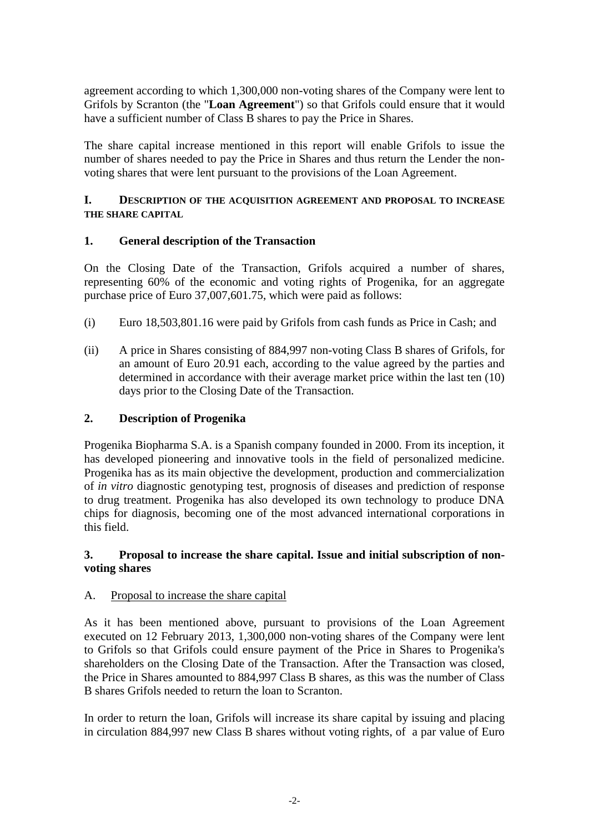agreement according to which 1,300,000 non-voting shares of the Company were lent to Grifols by Scranton (the "**Loan Agreement**") so that Grifols could ensure that it would have a sufficient number of Class B shares to pay the Price in Shares.

The share capital increase mentioned in this report will enable Grifols to issue the number of shares needed to pay the Price in Shares and thus return the Lender the nonvoting shares that were lent pursuant to the provisions of the Loan Agreement.

# **I. DESCRIPTION OF THE ACQUISITION AGREEMENT AND PROPOSAL TO INCREASE THE SHARE CAPITAL**

# **1. General description of the Transaction**

On the Closing Date of the Transaction, Grifols acquired a number of shares, representing 60% of the economic and voting rights of Progenika, for an aggregate purchase price of Euro 37,007,601.75, which were paid as follows:

- (i) Euro 18,503,801.16 were paid by Grifols from cash funds as Price in Cash; and
- (ii) A price in Shares consisting of 884,997 non-voting Class B shares of Grifols, for an amount of Euro 20.91 each, according to the value agreed by the parties and determined in accordance with their average market price within the last ten (10) days prior to the Closing Date of the Transaction.

## **2. Description of Progenika**

Progenika Biopharma S.A. is a Spanish company founded in 2000. From its inception, it has developed pioneering and innovative tools in the field of personalized medicine. Progenika has as its main objective the development, production and commercialization of *in vitro* diagnostic genotyping test, prognosis of diseases and prediction of response to drug treatment. Progenika has also developed its own technology to produce DNA chips for diagnosis, becoming one of the most advanced international corporations in this field.

### **3. Proposal to increase the share capital. Issue and initial subscription of nonvoting shares**

### A. Proposal to increase the share capital

As it has been mentioned above, pursuant to provisions of the Loan Agreement executed on 12 February 2013, 1,300,000 non-voting shares of the Company were lent to Grifols so that Grifols could ensure payment of the Price in Shares to Progenika's shareholders on the Closing Date of the Transaction. After the Transaction was closed, the Price in Shares amounted to 884,997 Class B shares, as this was the number of Class B shares Grifols needed to return the loan to Scranton.

In order to return the loan, Grifols will increase its share capital by issuing and placing in circulation 884,997 new Class B shares without voting rights, of a par value of Euro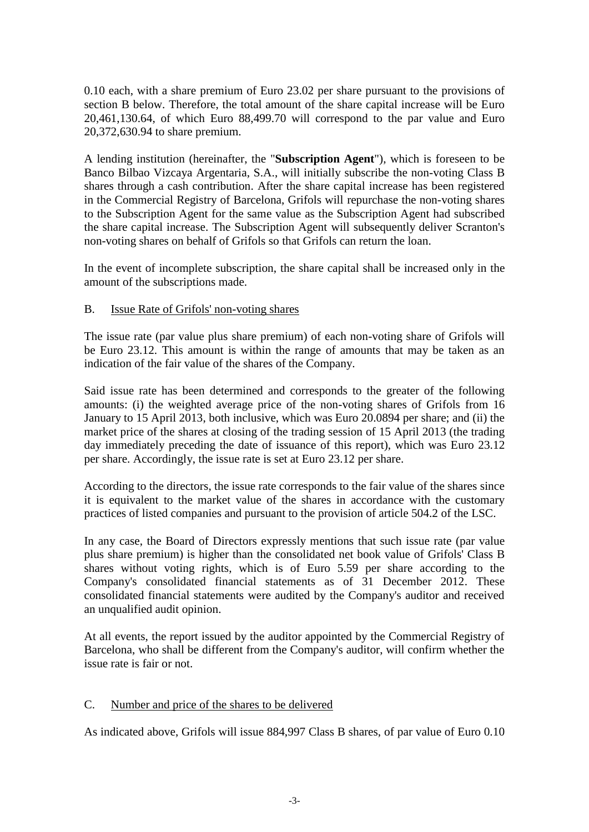0.10 each, with a share premium of Euro 23.02 per share pursuant to the provisions of section B below. Therefore, the total amount of the share capital increase will be Euro 20,461,130.64, of which Euro 88,499.70 will correspond to the par value and Euro 20,372,630.94 to share premium.

A lending institution (hereinafter, the "**Subscription Agent**"), which is foreseen to be Banco Bilbao Vizcaya Argentaria, S.A., will initially subscribe the non-voting Class B shares through a cash contribution. After the share capital increase has been registered in the Commercial Registry of Barcelona, Grifols will repurchase the non-voting shares to the Subscription Agent for the same value as the Subscription Agent had subscribed the share capital increase. The Subscription Agent will subsequently deliver Scranton's non-voting shares on behalf of Grifols so that Grifols can return the loan.

In the event of incomplete subscription, the share capital shall be increased only in the amount of the subscriptions made.

# B. Issue Rate of Grifols' non-voting shares

The issue rate (par value plus share premium) of each non-voting share of Grifols will be Euro 23.12. This amount is within the range of amounts that may be taken as an indication of the fair value of the shares of the Company.

Said issue rate has been determined and corresponds to the greater of the following amounts: (i) the weighted average price of the non-voting shares of Grifols from 16 January to 15 April 2013, both inclusive, which was Euro 20.0894 per share; and (ii) the market price of the shares at closing of the trading session of 15 April 2013 (the trading day immediately preceding the date of issuance of this report), which was Euro 23.12 per share. Accordingly, the issue rate is set at Euro 23.12 per share.

According to the directors, the issue rate corresponds to the fair value of the shares since it is equivalent to the market value of the shares in accordance with the customary practices of listed companies and pursuant to the provision of article 504.2 of the LSC.

In any case, the Board of Directors expressly mentions that such issue rate (par value plus share premium) is higher than the consolidated net book value of Grifols' Class B shares without voting rights, which is of Euro 5.59 per share according to the Company's consolidated financial statements as of 31 December 2012. These consolidated financial statements were audited by the Company's auditor and received an unqualified audit opinion.

At all events, the report issued by the auditor appointed by the Commercial Registry of Barcelona, who shall be different from the Company's auditor, will confirm whether the issue rate is fair or not.

# C. Number and price of the shares to be delivered

As indicated above, Grifols will issue 884,997 Class B shares, of par value of Euro 0.10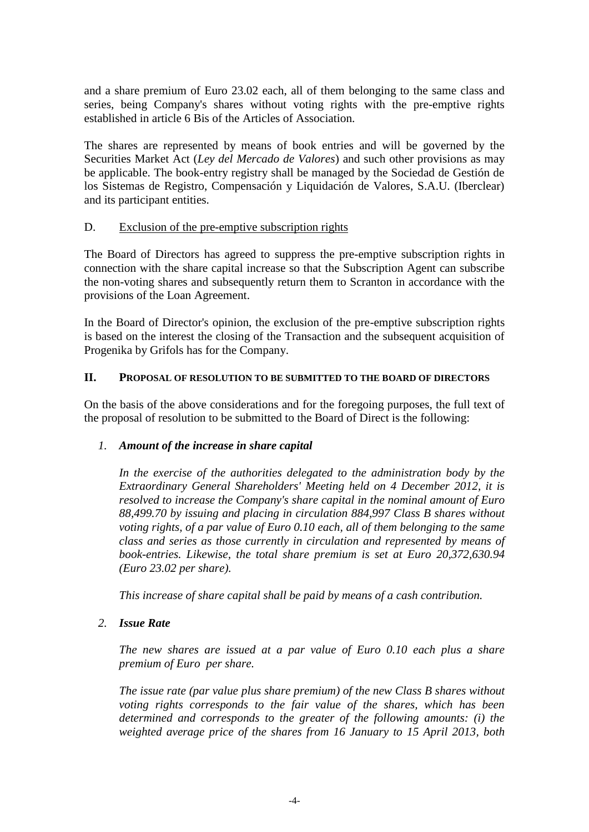and a share premium of Euro 23.02 each, all of them belonging to the same class and series, being Company's shares without voting rights with the pre-emptive rights established in article 6 Bis of the Articles of Association.

The shares are represented by means of book entries and will be governed by the Securities Market Act (*Ley del Mercado de Valores*) and such other provisions as may be applicable. The book-entry registry shall be managed by the Sociedad de Gestión de los Sistemas de Registro, Compensación y Liquidación de Valores, S.A.U. (Iberclear) and its participant entities.

# D. Exclusion of the pre-emptive subscription rights

The Board of Directors has agreed to suppress the pre-emptive subscription rights in connection with the share capital increase so that the Subscription Agent can subscribe the non-voting shares and subsequently return them to Scranton in accordance with the provisions of the Loan Agreement.

In the Board of Director's opinion, the exclusion of the pre-emptive subscription rights is based on the interest the closing of the Transaction and the subsequent acquisition of Progenika by Grifols has for the Company.

# **II. PROPOSAL OF RESOLUTION TO BE SUBMITTED TO THE BOARD OF DIRECTORS**

On the basis of the above considerations and for the foregoing purposes, the full text of the proposal of resolution to be submitted to the Board of Direct is the following:

# *1. Amount of the increase in share capital*

*In the exercise of the authorities delegated to the administration body by the Extraordinary General Shareholders' Meeting held on 4 December 2012, it is resolved to increase the Company's share capital in the nominal amount of Euro 88,499.70 by issuing and placing in circulation 884,997 Class B shares without voting rights, of a par value of Euro 0.10 each, all of them belonging to the same class and series as those currently in circulation and represented by means of book-entries. Likewise, the total share premium is set at Euro 20,372,630.94 (Euro 23.02 per share).*

*This increase of share capital shall be paid by means of a cash contribution.* 

# *2. Issue Rate*

*The new shares are issued at a par value of Euro 0.10 each plus a share premium of Euro per share.*

*The issue rate (par value plus share premium) of the new Class B shares without voting rights corresponds to the fair value of the shares, which has been determined and corresponds to the greater of the following amounts: (i) the weighted average price of the shares from 16 January to 15 April 2013, both*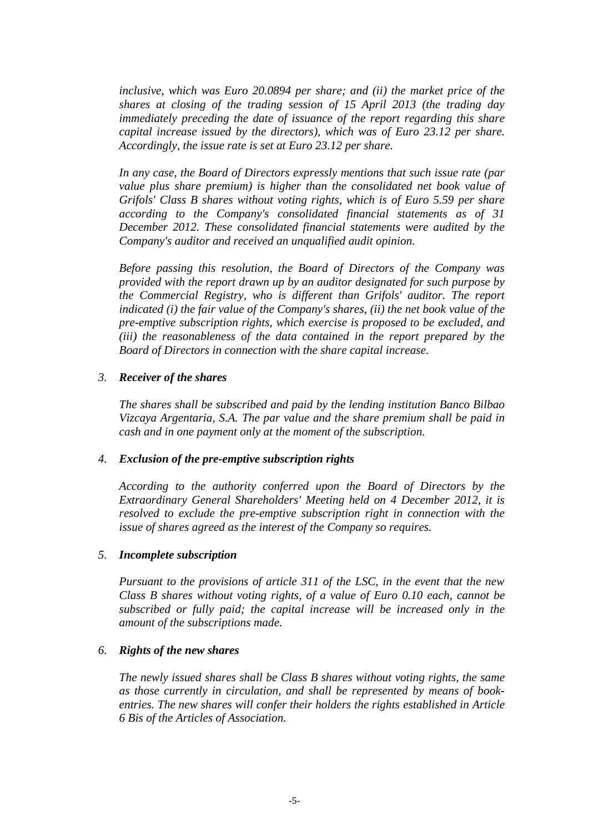*inclusive, which was Euro 20.0894 per share; and (ii) the market price of the shares at closing of the trading session of 15 April 2013 (the trading day immediately preceding the date of issuance of the report regarding this share capital increase issued by the directors), which was of Euro 23.12 per share. Accordingly, the issue rate is set at Euro 23.12 per share.*

*In any case, the Board of Directors expressly mentions that such issue rate (par value plus share premium) is higher than the consolidated net book value of Grifols' Class B shares without voting rights, which is of Euro 5.59 per share according to the Company's consolidated financial statements as of 31 December 2012. These consolidated financial statements were audited by the Company's auditor and received an unqualified audit opinion.*

*Before passing this resolution, the Board of Directors of the Company was provided with the report drawn up by an auditor designated for such purpose by the Commercial Registry, who is different than Grifols' auditor. The report indicated (i) the fair value of the Company's shares, (ii) the net book value of the pre-emptive subscription rights, which exercise is proposed to be excluded, and (iii) the reasonableness of the data contained in the report prepared by the Board of Directors in connection with the share capital increase.* 

#### *3. Receiver of the shares*

*The shares shall be subscribed and paid by the lending institution Banco Bilbao Vizcaya Argentaria, S.A. The par value and the share premium shall be paid in cash and in one payment only at the moment of the subscription.*

#### *4. Exclusion of the pre-emptive subscription rights*

*According to the authority conferred upon the Board of Directors by the Extraordinary General Shareholders' Meeting held on 4 December 2012, it is resolved to exclude the pre-emptive subscription right in connection with the issue of shares agreed as the interest of the Company so requires.*

### *5. Incomplete subscription*

*Pursuant to the provisions of article 311 of the LSC, in the event that the new Class B shares without voting rights, of a value of Euro 0.10 each, cannot be subscribed or fully paid; the capital increase will be increased only in the amount of the subscriptions made.*

### *6. Rights of the new shares*

*The newly issued shares shall be Class B shares without voting rights, the same as those currently in circulation, and shall be represented by means of bookentries. The new shares will confer their holders the rights established in Article 6 Bis of the Articles of Association.*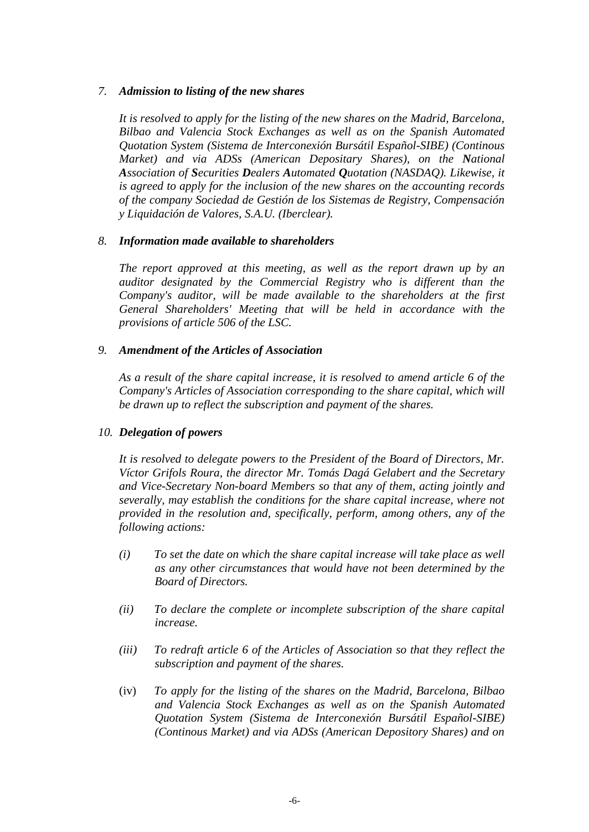### *7. Admission to listing of the new shares*

*It is resolved to apply for the listing of the new shares on the Madrid, Barcelona, Bilbao and Valencia Stock Exchanges as well as on the Spanish Automated Quotation System (Sistema de Interconexión Bursátil Español-SIBE) (Continous Market) and via ADSs (American Depositary Shares), on the National Association of Securities Dealers Automated Quotation (NASDAQ). Likewise, it is agreed to apply for the inclusion of the new shares on the accounting records of the company Sociedad de Gestión de los Sistemas de Registry, Compensación y Liquidación de Valores, S.A.U. (Iberclear).*

#### *8. Information made available to shareholders*

*The report approved at this meeting, as well as the report drawn up by an auditor designated by the Commercial Registry who is different than the Company's auditor, will be made available to the shareholders at the first General Shareholders' Meeting that will be held in accordance with the provisions of article 506 of the LSC.*

#### *9. Amendment of the Articles of Association*

*As a result of the share capital increase, it is resolved to amend article 6 of the Company's Articles of Association corresponding to the share capital, which will be drawn up to reflect the subscription and payment of the shares.*

### *10. Delegation of powers*

*It is resolved to delegate powers to the President of the Board of Directors, Mr. Víctor Grifols Roura, the director Mr. Tomás Dagá Gelabert and the Secretary and Vice-Secretary Non-board Members so that any of them, acting jointly and severally, may establish the conditions for the share capital increase, where not provided in the resolution and, specifically, perform, among others, any of the following actions:* 

- *(i) To set the date on which the share capital increase will take place as well as any other circumstances that would have not been determined by the Board of Directors.*
- *(ii) To declare the complete or incomplete subscription of the share capital increase.*
- *(iii) To redraft article 6 of the Articles of Association so that they reflect the subscription and payment of the shares.*
- (iv) *To apply for the listing of the shares on the Madrid, Barcelona, Bilbao and Valencia Stock Exchanges as well as on the Spanish Automated Quotation System (Sistema de Interconexión Bursátil Español-SIBE) (Continous Market) and via ADSs (American Depository Shares) and on*